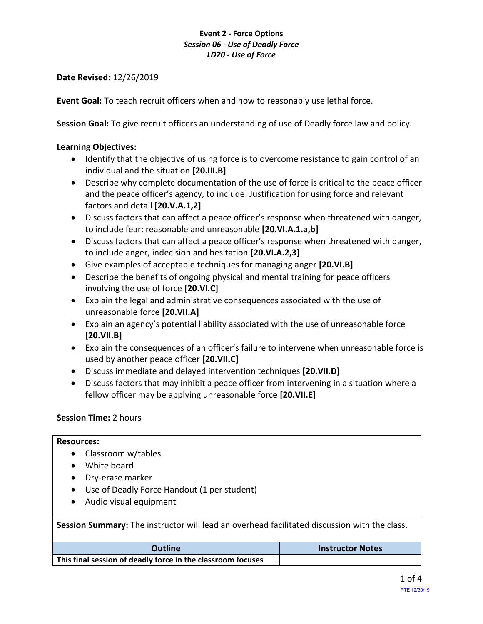# **Event 2 - Force Options** *Session 06 - Use of Deadly Force LD20 - Use of Force*

**Date Revised:** 12/26/2019

**Event Goal:** To teach recruit officers when and how to reasonably use lethal force.

**Session Goal:** To give recruit officers an understanding of use of Deadly force law and policy.

# **Learning Objectives:**

- Identify that the objective of using force is to overcome resistance to gain control of an individual and the situation **[20.III.B]**
- Describe why complete documentation of the use of force is critical to the peace officer and the peace officer's agency, to include: Justification for using force and relevant factors and detail **[20.V.A.1,2]**
- Discuss factors that can affect a peace officer's response when threatened with danger, to include fear: reasonable and unreasonable **[20.VI.A.1.a,b]**
- Discuss factors that can affect a peace officer's response when threatened with danger, to include anger, indecision and hesitation **[20.VI.A.2,3]**
- Give examples of acceptable techniques for managing anger **[20.VI.B]**
- Describe the benefits of ongoing physical and mental training for peace officers involving the use of force **[20.VI.C]**
- Explain the legal and administrative consequences associated with the use of unreasonable force **[20.VII.A]**
- Explain an agency's potential liability associated with the use of unreasonable force **[20.VII.B]**
- Explain the consequences of an officer's failure to intervene when unreasonable force is used by another peace officer **[20.VII.C]**
- Discuss immediate and delayed intervention techniques **[20.VII.D]**
- Discuss factors that may inhibit a peace officer from intervening in a situation where a fellow officer may be applying unreasonable force **[20.VII.E]**

## **Session Time:** 2 hours

### **Resources:**

- Classroom w/tables
- White board
- Dry-erase marker
- Use of Deadly Force Handout (1 per student)
- Audio visual equipment

**Session Summary:** The instructor will lead an overhead facilitated discussion with the class.

| Outline                                                     | <b>Instructor Notes</b> |
|-------------------------------------------------------------|-------------------------|
| This final session of deadly force in the classroom focuses |                         |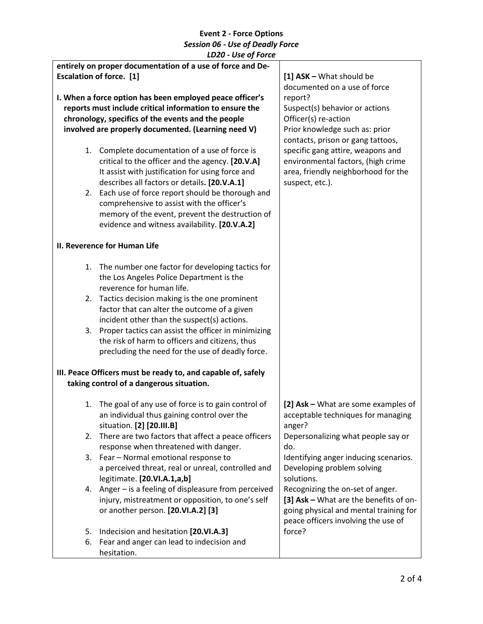|    | LDZU - USE UJ FUILE                                          |                                        |
|----|--------------------------------------------------------------|----------------------------------------|
|    | entirely on proper documentation of a use of force and De-   |                                        |
|    | <b>Escalation of force.</b> [1]                              | [1] ASK - What should be               |
|    |                                                              | documented on a use of force           |
|    | I. When a force option has been employed peace officer's     | report?                                |
|    | reports must include critical information to ensure the      | Suspect(s) behavior or actions         |
|    |                                                              |                                        |
|    | chronology, specifics of the events and the people           | Officer(s) re-action                   |
|    | involved are properly documented. (Learning need V)          | Prior knowledge such as: prior         |
|    |                                                              | contacts, prison or gang tattoos,      |
|    | 1. Complete documentation of a use of force is               | specific gang attire, weapons and      |
|    | critical to the officer and the agency. [20.V.A]             | environmental factors, (high crime     |
|    | It assist with justification for using force and             | area, friendly neighborhood for the    |
|    | describes all factors or details. [20.V.A.1]                 | suspect, etc.).                        |
|    |                                                              |                                        |
|    | 2. Each use of force report should be thorough and           |                                        |
|    | comprehensive to assist with the officer's                   |                                        |
|    | memory of the event, prevent the destruction of              |                                        |
|    | evidence and witness availability. [20.V.A.2]                |                                        |
|    | II. Reverence for Human Life                                 |                                        |
|    |                                                              |                                        |
| 1. | The number one factor for developing tactics for             |                                        |
|    | the Los Angeles Police Department is the                     |                                        |
|    | reverence for human life.                                    |                                        |
|    |                                                              |                                        |
| 2. | Tactics decision making is the one prominent                 |                                        |
|    | factor that can alter the outcome of a given                 |                                        |
|    | incident other than the suspect(s) actions.                  |                                        |
|    | 3. Proper tactics can assist the officer in minimizing       |                                        |
|    | the risk of harm to officers and citizens, thus              |                                        |
|    | precluding the need for the use of deadly force.             |                                        |
|    |                                                              |                                        |
|    | III. Peace Officers must be ready to, and capable of, safely |                                        |
|    | taking control of a dangerous situation.                     |                                        |
| 1. | The goal of any use of force is to gain control of           | [2] Ask - What are some examples of    |
|    | an individual thus gaining control over the                  | acceptable techniques for managing     |
|    | situation. [2] [20.III.B]                                    | anger?                                 |
|    |                                                              |                                        |
| 2. | There are two factors that affect a peace officers           | Depersonalizing what people say or     |
|    | response when threatened with danger.                        | do.                                    |
|    | 3. Fear - Normal emotional response to                       | Identifying anger inducing scenarios.  |
|    | a perceived threat, real or unreal, controlled and           | Developing problem solving             |
|    | legitimate. [20.VI.A.1,a,b]                                  | solutions.                             |
|    | 4. Anger - is a feeling of displeasure from perceived        | Recognizing the on-set of anger.       |
|    | injury, mistreatment or opposition, to one's self            | [3] Ask - What are the benefits of on- |
|    |                                                              |                                        |
|    | or another person. [20.VI.A.2] [3]                           | going physical and mental training for |
|    |                                                              | peace officers involving the use of    |
| 5. | Indecision and hesitation [20.VI.A.3]                        | force?                                 |
| 6. | Fear and anger can lead to indecision and                    |                                        |
|    | hesitation.                                                  |                                        |
|    |                                                              |                                        |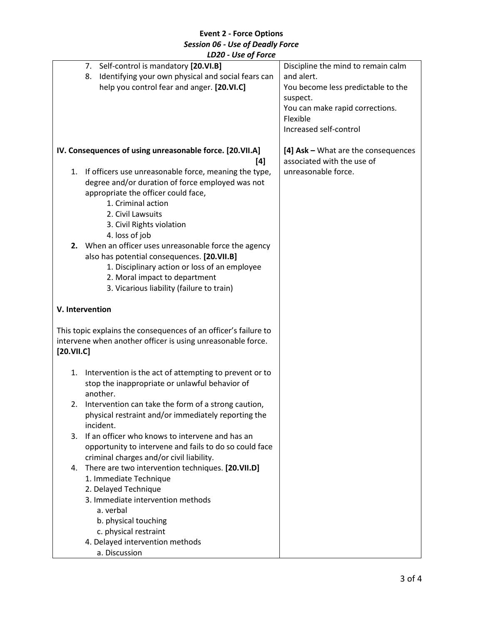# **Event 2 - Force Options** *Session 06 - Use of Deadly Force LD20 - Use of Force*

|            | LDZU - USE OJ FOrce                                                                                                                                                                                                                 |                                                                                                                                                                             |
|------------|-------------------------------------------------------------------------------------------------------------------------------------------------------------------------------------------------------------------------------------|-----------------------------------------------------------------------------------------------------------------------------------------------------------------------------|
|            | 7. Self-control is mandatory [20.VI.B]<br>Identifying your own physical and social fears can<br>8.<br>help you control fear and anger. [20.VI.C]                                                                                    | Discipline the mind to remain calm<br>and alert.<br>You become less predictable to the<br>suspect.<br>You can make rapid corrections.<br>Flexible<br>Increased self-control |
|            | IV. Consequences of using unreasonable force. [20.VII.A]                                                                                                                                                                            | [4] Ask - What are the consequences                                                                                                                                         |
|            | [4]<br>1. If officers use unreasonable force, meaning the type,<br>degree and/or duration of force employed was not<br>appropriate the officer could face,<br>1. Criminal action                                                    | associated with the use of<br>unreasonable force.                                                                                                                           |
|            | 2. Civil Lawsuits<br>3. Civil Rights violation                                                                                                                                                                                      |                                                                                                                                                                             |
|            | 4. loss of job                                                                                                                                                                                                                      |                                                                                                                                                                             |
|            | 2. When an officer uses unreasonable force the agency<br>also has potential consequences. [20.VII.B]<br>1. Disciplinary action or loss of an employee<br>2. Moral impact to department<br>3. Vicarious liability (failure to train) |                                                                                                                                                                             |
|            | V. Intervention                                                                                                                                                                                                                     |                                                                                                                                                                             |
| [20.VII.C] | This topic explains the consequences of an officer's failure to<br>intervene when another officer is using unreasonable force.                                                                                                      |                                                                                                                                                                             |
| 1.         | Intervention is the act of attempting to prevent or to<br>stop the inappropriate or unlawful behavior of<br>another.                                                                                                                |                                                                                                                                                                             |
| 2.         | Intervention can take the form of a strong caution,<br>physical restraint and/or immediately reporting the<br>incident.                                                                                                             |                                                                                                                                                                             |
| 3.         | If an officer who knows to intervene and has an<br>opportunity to intervene and fails to do so could face<br>criminal charges and/or civil liability.                                                                               |                                                                                                                                                                             |
| 4.         | There are two intervention techniques. [20.VII.D]<br>1. Immediate Technique<br>2. Delayed Technique                                                                                                                                 |                                                                                                                                                                             |
|            | 3. Immediate intervention methods                                                                                                                                                                                                   |                                                                                                                                                                             |
|            | a. verbal                                                                                                                                                                                                                           |                                                                                                                                                                             |
|            | b. physical touching                                                                                                                                                                                                                |                                                                                                                                                                             |
|            | c. physical restraint                                                                                                                                                                                                               |                                                                                                                                                                             |
|            | 4. Delayed intervention methods<br>a. Discussion                                                                                                                                                                                    |                                                                                                                                                                             |
|            |                                                                                                                                                                                                                                     |                                                                                                                                                                             |